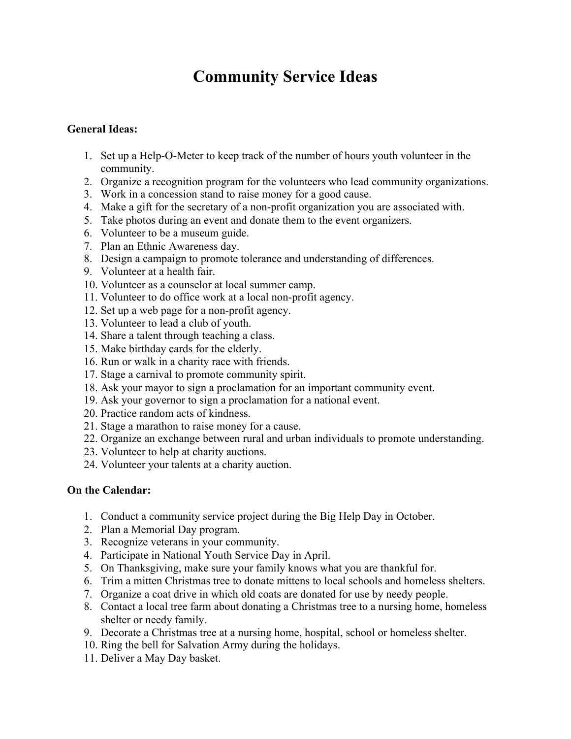# **Community Service Ideas**

#### **General Ideas:**

- 1. Set up a Help-O-Meter to keep track of the number of hours youth volunteer in the community.
- 2. Organize a recognition program for the volunteers who lead community organizations.
- 3. Work in a concession stand to raise money for a good cause.
- 4. Make a gift for the secretary of a non-profit organization you are associated with.
- 5. Take photos during an event and donate them to the event organizers.
- 6. Volunteer to be a museum guide.
- 7. Plan an Ethnic Awareness day.
- 8. Design a campaign to promote tolerance and understanding of differences.
- 9. Volunteer at a health fair.
- 10. Volunteer as a counselor at local summer camp.
- 11. Volunteer to do office work at a local non-profit agency.
- 12. Set up a web page for a non-profit agency.
- 13. Volunteer to lead a club of youth.
- 14. Share a talent through teaching a class.
- 15. Make birthday cards for the elderly.
- 16. Run or walk in a charity race with friends.
- 17. Stage a carnival to promote community spirit.
- 18. Ask your mayor to sign a proclamation for an important community event.
- 19. Ask your governor to sign a proclamation for a national event.
- 20. Practice random acts of kindness.
- 21. Stage a marathon to raise money for a cause.
- 22. Organize an exchange between rural and urban individuals to promote understanding.
- 23. Volunteer to help at charity auctions.
- 24. Volunteer your talents at a charity auction.

# **On the Calendar:**

- 1. Conduct a community service project during the Big Help Day in October.
- 2. Plan a Memorial Day program.
- 3. Recognize veterans in your community.
- 4. Participate in National Youth Service Day in April.
- 5. On Thanksgiving, make sure your family knows what you are thankful for.
- 6. Trim a mitten Christmas tree to donate mittens to local schools and homeless shelters.
- 7. Organize a coat drive in which old coats are donated for use by needy people.
- 8. Contact a local tree farm about donating a Christmas tree to a nursing home, homeless shelter or needy family.
- 9. Decorate a Christmas tree at a nursing home, hospital, school or homeless shelter.
- 10. Ring the bell for Salvation Army during the holidays.
- 11. Deliver a May Day basket.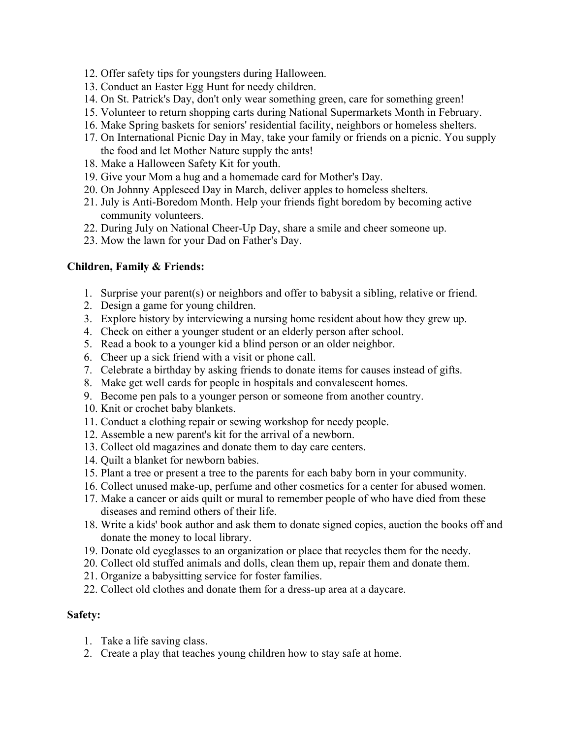- 12. Offer safety tips for youngsters during Halloween.
- 13. Conduct an Easter Egg Hunt for needy children.
- 14. On St. Patrick's Day, don't only wear something green, care for something green!
- 15. Volunteer to return shopping carts during National Supermarkets Month in February.
- 16. Make Spring baskets for seniors' residential facility, neighbors or homeless shelters.
- 17. On International Picnic Day in May, take your family or friends on a picnic. You supply the food and let Mother Nature supply the ants!
- 18. Make a Halloween Safety Kit for youth.
- 19. Give your Mom a hug and a homemade card for Mother's Day.
- 20. On Johnny Appleseed Day in March, deliver apples to homeless shelters.
- 21. July is Anti-Boredom Month. Help your friends fight boredom by becoming active community volunteers.
- 22. During July on National Cheer-Up Day, share a smile and cheer someone up.
- 23. Mow the lawn for your Dad on Father's Day.

# **Children, Family & Friends:**

- 1. Surprise your parent(s) or neighbors and offer to babysit a sibling, relative or friend.
- 2. Design a game for young children.
- 3. Explore history by interviewing a nursing home resident about how they grew up.
- 4. Check on either a younger student or an elderly person after school.
- 5. Read a book to a younger kid a blind person or an older neighbor.
- 6. Cheer up a sick friend with a visit or phone call.
- 7. Celebrate a birthday by asking friends to donate items for causes instead of gifts.
- 8. Make get well cards for people in hospitals and convalescent homes.
- 9. Become pen pals to a younger person or someone from another country.
- 10. Knit or crochet baby blankets.
- 11. Conduct a clothing repair or sewing workshop for needy people.
- 12. Assemble a new parent's kit for the arrival of a newborn.
- 13. Collect old magazines and donate them to day care centers.
- 14. Quilt a blanket for newborn babies.
- 15. Plant a tree or present a tree to the parents for each baby born in your community.
- 16. Collect unused make-up, perfume and other cosmetics for a center for abused women.
- 17. Make a cancer or aids quilt or mural to remember people of who have died from these diseases and remind others of their life.
- 18. Write a kids' book author and ask them to donate signed copies, auction the books off and donate the money to local library.
- 19. Donate old eyeglasses to an organization or place that recycles them for the needy.
- 20. Collect old stuffed animals and dolls, clean them up, repair them and donate them.
- 21. Organize a babysitting service for foster families.
- 22. Collect old clothes and donate them for a dress-up area at a daycare.

#### **Safety:**

- 1. Take a life saving class.
- 2. Create a play that teaches young children how to stay safe at home.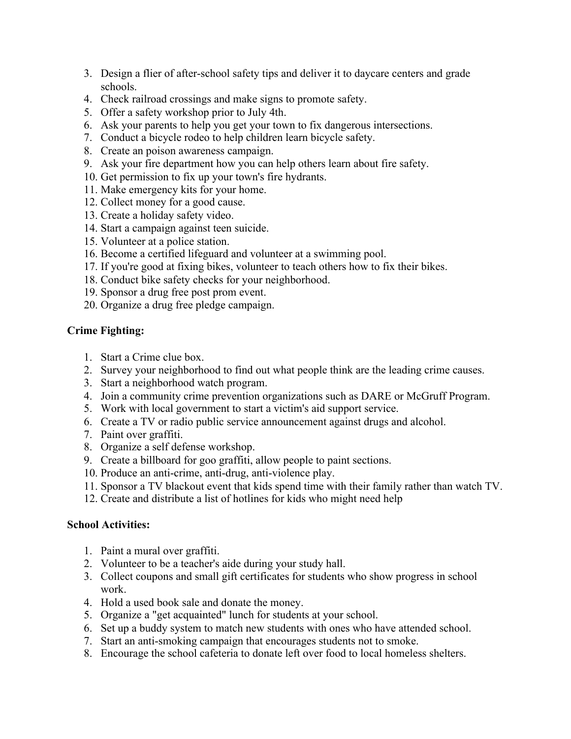- 3. Design a flier of after-school safety tips and deliver it to daycare centers and grade schools.
- 4. Check railroad crossings and make signs to promote safety.
- 5. Offer a safety workshop prior to July 4th.
- 6. Ask your parents to help you get your town to fix dangerous intersections.
- 7. Conduct a bicycle rodeo to help children learn bicycle safety.
- 8. Create an poison awareness campaign.
- 9. Ask your fire department how you can help others learn about fire safety.
- 10. Get permission to fix up your town's fire hydrants.
- 11. Make emergency kits for your home.
- 12. Collect money for a good cause.
- 13. Create a holiday safety video.
- 14. Start a campaign against teen suicide.
- 15. Volunteer at a police station.
- 16. Become a certified lifeguard and volunteer at a swimming pool.
- 17. If you're good at fixing bikes, volunteer to teach others how to fix their bikes.
- 18. Conduct bike safety checks for your neighborhood.
- 19. Sponsor a drug free post prom event.
- 20. Organize a drug free pledge campaign.

# **Crime Fighting:**

- 1. Start a Crime clue box.
- 2. Survey your neighborhood to find out what people think are the leading crime causes.
- 3. Start a neighborhood watch program.
- 4. Join a community crime prevention organizations such as DARE or McGruff Program.
- 5. Work with local government to start a victim's aid support service.
- 6. Create a TV or radio public service announcement against drugs and alcohol.
- 7. Paint over graffiti.
- 8. Organize a self defense workshop.
- 9. Create a billboard for goo graffiti, allow people to paint sections.
- 10. Produce an anti-crime, anti-drug, anti-violence play.
- 11. Sponsor a TV blackout event that kids spend time with their family rather than watch TV.
- 12. Create and distribute a list of hotlines for kids who might need help

#### **School Activities:**

- 1. Paint a mural over graffiti.
- 2. Volunteer to be a teacher's aide during your study hall.
- 3. Collect coupons and small gift certificates for students who show progress in school work.
- 4. Hold a used book sale and donate the money.
- 5. Organize a "get acquainted" lunch for students at your school.
- 6. Set up a buddy system to match new students with ones who have attended school.
- 7. Start an anti-smoking campaign that encourages students not to smoke.
- 8. Encourage the school cafeteria to donate left over food to local homeless shelters.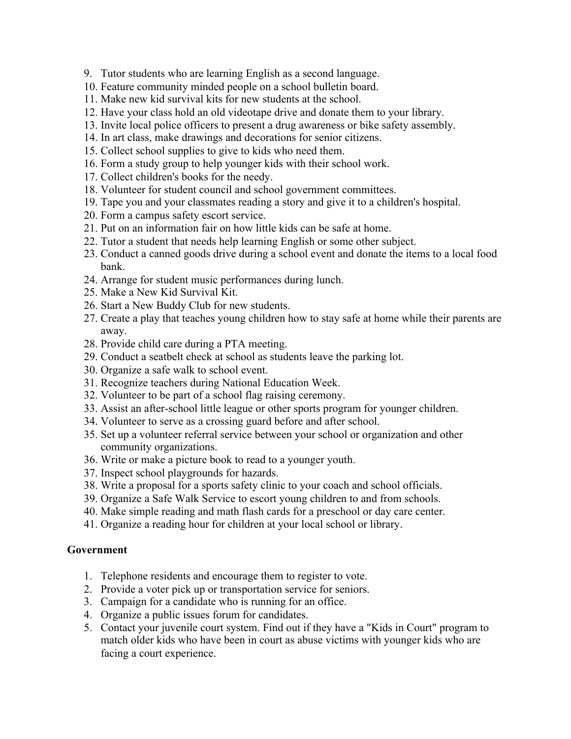- 9. Tutor students who are learning English as a second language.
- 10. Feature community minded people on a school bulletin board.
- 11. Make new kid survival kits for new students at the school.
- 12. Have your class hold an old videotape drive and donate them to your library.
- 13. Invite local police officers to present a drug awareness or bike safety assembly.
- 14. In art class, make drawings and decorations for senior citizens.
- 15. Collect school supplies to give to kids who need them.
- 16. Form a study group to help younger kids with their school work.
- 17. Collect children's books for the needy.
- 18. Volunteer for student council and school government committees.
- 19. Tape you and your classmates reading a story and give it to a children's hospital.
- 20. Form a campus safety escort service.
- 21. Put on an information fair on how little kids can be safe at home.
- 22. Tutor a student that needs help learning English or some other subject.
- 23. Conduct a canned goods drive during a school event and donate the items to a local food bank.
- 24. Arrange for student music performances during lunch.
- 25. Make a New Kid Survival Kit.
- 26. Start a New Buddy Club for new students.
- 27. Create a play that teaches young children how to stay safe at home while their parents are away.
- 28. Provide child care during a PTA meeting.
- 29. Conduct a seatbelt check at school as students leave the parking lot.
- 30. Organize a safe walk to school event.
- 31. Recognize teachers during National Education Week.
- 32. Volunteer to be part of a school flag raising ceremony.
- 33. Assist an after-school little league or other sports program for younger children.
- 34. Volunteer to serve as a crossing guard before and after school.
- 35. Set up a volunteer referral service between your school or organization and other community organizations.
- 36. Write or make a picture book to read to a younger youth.
- 37. Inspect school playgrounds for hazards.
- 38. Write a proposal for a sports safety clinic to your coach and school officials.
- 39. Organize a Safe Walk Service to escort young children to and from schools.
- 40. Make simple reading and math flash cards for a preschool or day care center.
- 41. Organize a reading hour for children at your local school or library.

#### **Government**

- 1. Telephone residents and encourage them to register to vote.
- 2. Provide a voter pick up or transportation service for seniors.
- 3. Campaign for a candidate who is running for an office.
- 4. Organize a public issues forum for candidates.
- 5. Contact your juvenile court system. Find out if they have a "Kids in Court" program to match older kids who have been in court as abuse victims with younger kids who are facing a court experience.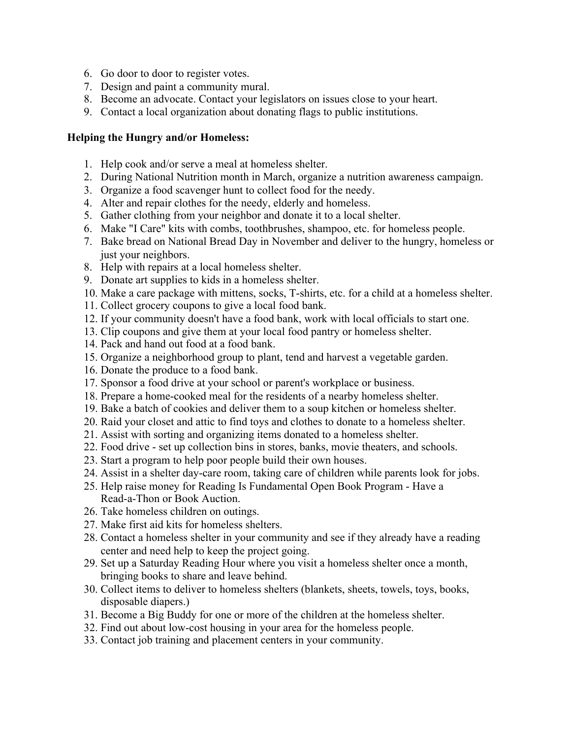- 6. Go door to door to register votes.
- 7. Design and paint a community mural.
- 8. Become an advocate. Contact your legislators on issues close to your heart.
- 9. Contact a local organization about donating flags to public institutions.

# **Helping the Hungry and/or Homeless:**

- 1. Help cook and/or serve a meal at homeless shelter.
- 2. During National Nutrition month in March, organize a nutrition awareness campaign.
- 3. Organize a food scavenger hunt to collect food for the needy.
- 4. Alter and repair clothes for the needy, elderly and homeless.
- 5. Gather clothing from your neighbor and donate it to a local shelter.
- 6. Make "I Care" kits with combs, toothbrushes, shampoo, etc. for homeless people.
- 7. Bake bread on National Bread Day in November and deliver to the hungry, homeless or just your neighbors.
- 8. Help with repairs at a local homeless shelter.
- 9. Donate art supplies to kids in a homeless shelter.
- 10. Make a care package with mittens, socks, T-shirts, etc. for a child at a homeless shelter.
- 11. Collect grocery coupons to give a local food bank.
- 12. If your community doesn't have a food bank, work with local officials to start one.
- 13. Clip coupons and give them at your local food pantry or homeless shelter.
- 14. Pack and hand out food at a food bank.
- 15. Organize a neighborhood group to plant, tend and harvest a vegetable garden.
- 16. Donate the produce to a food bank.
- 17. Sponsor a food drive at your school or parent's workplace or business.
- 18. Prepare a home-cooked meal for the residents of a nearby homeless shelter.
- 19. Bake a batch of cookies and deliver them to a soup kitchen or homeless shelter.
- 20. Raid your closet and attic to find toys and clothes to donate to a homeless shelter.
- 21. Assist with sorting and organizing items donated to a homeless shelter.
- 22. Food drive set up collection bins in stores, banks, movie theaters, and schools.
- 23. Start a program to help poor people build their own houses.
- 24. Assist in a shelter day-care room, taking care of children while parents look for jobs.
- 25. Help raise money for Reading Is Fundamental Open Book Program Have a Read-a-Thon or Book Auction.
- 26. Take homeless children on outings.
- 27. Make first aid kits for homeless shelters.
- 28. Contact a homeless shelter in your community and see if they already have a reading center and need help to keep the project going.
- 29. Set up a Saturday Reading Hour where you visit a homeless shelter once a month, bringing books to share and leave behind.
- 30. Collect items to deliver to homeless shelters (blankets, sheets, towels, toys, books, disposable diapers.)
- 31. Become a Big Buddy for one or more of the children at the homeless shelter.
- 32. Find out about low-cost housing in your area for the homeless people.
- 33. Contact job training and placement centers in your community.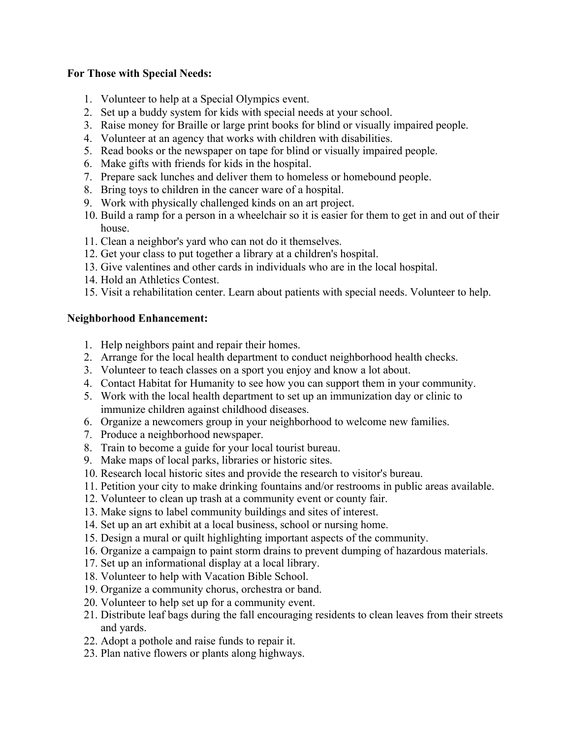### **For Those with Special Needs:**

- 1. Volunteer to help at a Special Olympics event.
- 2. Set up a buddy system for kids with special needs at your school.
- 3. Raise money for Braille or large print books for blind or visually impaired people.
- 4. Volunteer at an agency that works with children with disabilities.
- 5. Read books or the newspaper on tape for blind or visually impaired people.
- 6. Make gifts with friends for kids in the hospital.
- 7. Prepare sack lunches and deliver them to homeless or homebound people.
- 8. Bring toys to children in the cancer ware of a hospital.
- 9. Work with physically challenged kinds on an art project.
- 10. Build a ramp for a person in a wheelchair so it is easier for them to get in and out of their house.
- 11. Clean a neighbor's yard who can not do it themselves.
- 12. Get your class to put together a library at a children's hospital.
- 13. Give valentines and other cards in individuals who are in the local hospital.
- 14. Hold an Athletics Contest.
- 15. Visit a rehabilitation center. Learn about patients with special needs. Volunteer to help.

#### **Neighborhood Enhancement:**

- 1. Help neighbors paint and repair their homes.
- 2. Arrange for the local health department to conduct neighborhood health checks.
- 3. Volunteer to teach classes on a sport you enjoy and know a lot about.
- 4. Contact Habitat for Humanity to see how you can support them in your community.
- 5. Work with the local health department to set up an immunization day or clinic to immunize children against childhood diseases.
- 6. Organize a newcomers group in your neighborhood to welcome new families.
- 7. Produce a neighborhood newspaper.
- 8. Train to become a guide for your local tourist bureau.
- 9. Make maps of local parks, libraries or historic sites.
- 10. Research local historic sites and provide the research to visitor's bureau.
- 11. Petition your city to make drinking fountains and/or restrooms in public areas available.
- 12. Volunteer to clean up trash at a community event or county fair.
- 13. Make signs to label community buildings and sites of interest.
- 14. Set up an art exhibit at a local business, school or nursing home.
- 15. Design a mural or quilt highlighting important aspects of the community.
- 16. Organize a campaign to paint storm drains to prevent dumping of hazardous materials.
- 17. Set up an informational display at a local library.
- 18. Volunteer to help with Vacation Bible School.
- 19. Organize a community chorus, orchestra or band.
- 20. Volunteer to help set up for a community event.
- 21. Distribute leaf bags during the fall encouraging residents to clean leaves from their streets and yards.
- 22. Adopt a pothole and raise funds to repair it.
- 23. Plan native flowers or plants along highways.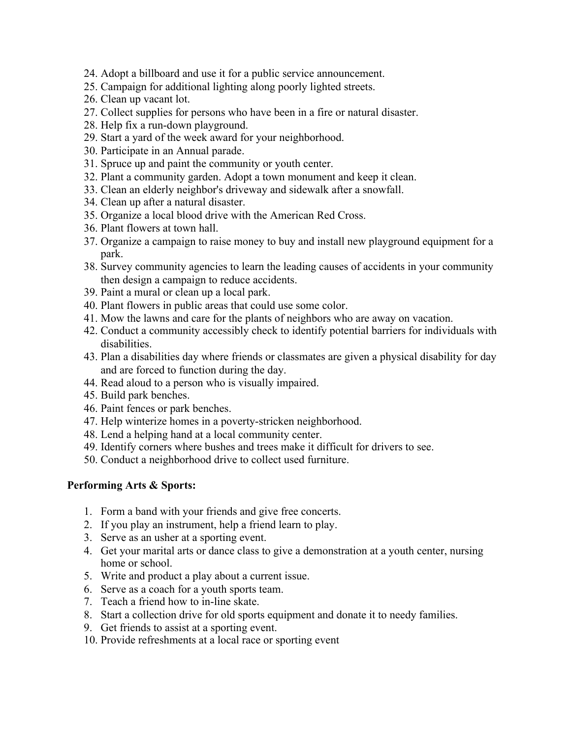- 24. Adopt a billboard and use it for a public service announcement.
- 25. Campaign for additional lighting along poorly lighted streets.
- 26. Clean up vacant lot.
- 27. Collect supplies for persons who have been in a fire or natural disaster.
- 28. Help fix a run-down playground.
- 29. Start a yard of the week award for your neighborhood.
- 30. Participate in an Annual parade.
- 31. Spruce up and paint the community or youth center.
- 32. Plant a community garden. Adopt a town monument and keep it clean.
- 33. Clean an elderly neighbor's driveway and sidewalk after a snowfall.
- 34. Clean up after a natural disaster.
- 35. Organize a local blood drive with the American Red Cross.
- 36. Plant flowers at town hall.
- 37. Organize a campaign to raise money to buy and install new playground equipment for a park.
- 38. Survey community agencies to learn the leading causes of accidents in your community then design a campaign to reduce accidents.
- 39. Paint a mural or clean up a local park.
- 40. Plant flowers in public areas that could use some color.
- 41. Mow the lawns and care for the plants of neighbors who are away on vacation.
- 42. Conduct a community accessibly check to identify potential barriers for individuals with disabilities.
- 43. Plan a disabilities day where friends or classmates are given a physical disability for day and are forced to function during the day.
- 44. Read aloud to a person who is visually impaired.
- 45. Build park benches.
- 46. Paint fences or park benches.
- 47. Help winterize homes in a poverty-stricken neighborhood.
- 48. Lend a helping hand at a local community center.
- 49. Identify corners where bushes and trees make it difficult for drivers to see.
- 50. Conduct a neighborhood drive to collect used furniture.

#### **Performing Arts & Sports:**

- 1. Form a band with your friends and give free concerts.
- 2. If you play an instrument, help a friend learn to play.
- 3. Serve as an usher at a sporting event.
- 4. Get your marital arts or dance class to give a demonstration at a youth center, nursing home or school.
- 5. Write and product a play about a current issue.
- 6. Serve as a coach for a youth sports team.
- 7. Teach a friend how to in-line skate.
- 8. Start a collection drive for old sports equipment and donate it to needy families.
- 9. Get friends to assist at a sporting event.
- 10. Provide refreshments at a local race or sporting event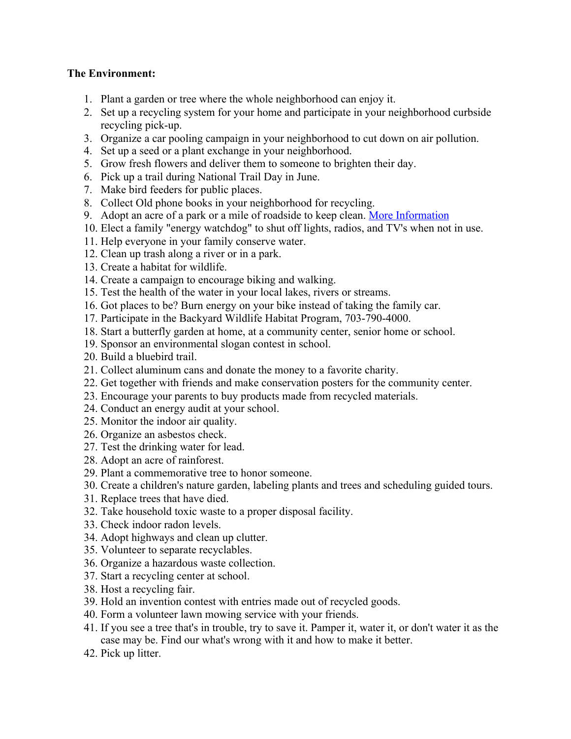### **The Environment:**

- 1. Plant a garden or tree where the whole neighborhood can enjoy it.
- 2. Set up a recycling system for your home and participate in your neighborhood curbside recycling pick-up.
- 3. Organize a car pooling campaign in your neighborhood to cut down on air pollution.
- 4. Set up a seed or a plant exchange in your neighborhood.
- 5. Grow fresh flowers and deliver them to someone to brighten their day.
- 6. Pick up a trail during National Trail Day in June.
- 7. Make bird feeders for public places.
- 8. Collect Old phone books in your neighborhood for recycling.
- 9. Adopt an acre of a park or a mile of roadside to keep clean. [More Information](https://lancaster.unl.edu/4h/serviceideas1.shtml)
- 10. Elect a family "energy watchdog" to shut off lights, radios, and TV's when not in use.
- 11. Help everyone in your family conserve water.
- 12. Clean up trash along a river or in a park.
- 13. Create a habitat for wildlife.
- 14. Create a campaign to encourage biking and walking.
- 15. Test the health of the water in your local lakes, rivers or streams.
- 16. Got places to be? Burn energy on your bike instead of taking the family car.
- 17. Participate in the Backyard Wildlife Habitat Program, 703-790-4000.
- 18. Start a butterfly garden at home, at a community center, senior home or school.
- 19. Sponsor an environmental slogan contest in school.
- 20. Build a bluebird trail.
- 21. Collect aluminum cans and donate the money to a favorite charity.
- 22. Get together with friends and make conservation posters for the community center.
- 23. Encourage your parents to buy products made from recycled materials.
- 24. Conduct an energy audit at your school.
- 25. Monitor the indoor air quality.
- 26. Organize an asbestos check.
- 27. Test the drinking water for lead.
- 28. Adopt an acre of rainforest.
- 29. Plant a commemorative tree to honor someone.
- 30. Create a children's nature garden, labeling plants and trees and scheduling guided tours.
- 31. Replace trees that have died.
- 32. Take household toxic waste to a proper disposal facility.
- 33. Check indoor radon levels.
- 34. Adopt highways and clean up clutter.
- 35. Volunteer to separate recyclables.
- 36. Organize a hazardous waste collection.
- 37. Start a recycling center at school.
- 38. Host a recycling fair.
- 39. Hold an invention contest with entries made out of recycled goods.
- 40. Form a volunteer lawn mowing service with your friends.
- 41. If you see a tree that's in trouble, try to save it. Pamper it, water it, or don't water it as the case may be. Find our what's wrong with it and how to make it better.
- 42. Pick up litter.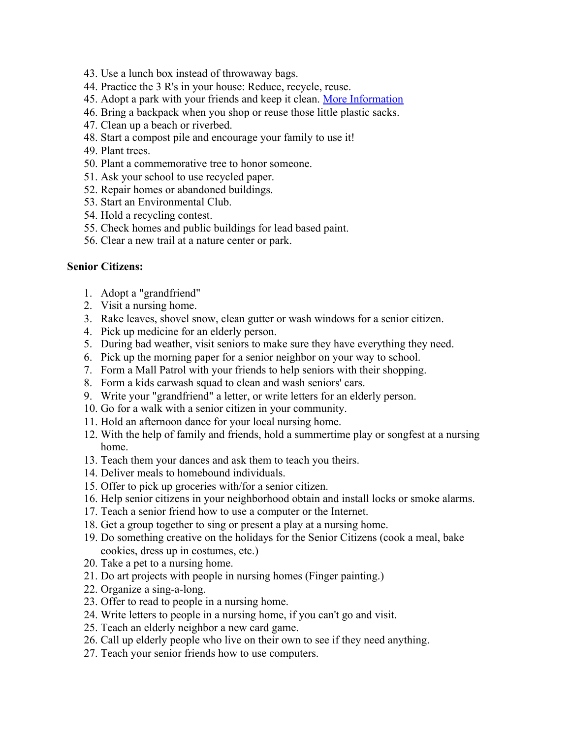- 43. Use a lunch box instead of throwaway bags.
- 44. Practice the 3 R's in your house: Reduce, recycle, reuse.
- 45. Adopt a park with your friends and keep it clean. [More Information](https://lancaster.unl.edu/4h/serviceideas1.shtml)
- 46. Bring a backpack when you shop or reuse those little plastic sacks.
- 47. Clean up a beach or riverbed.
- 48. Start a compost pile and encourage your family to use it!
- 49. Plant trees.
- 50. Plant a commemorative tree to honor someone.
- 51. Ask your school to use recycled paper.
- 52. Repair homes or abandoned buildings.
- 53. Start an Environmental Club.
- 54. Hold a recycling contest.
- 55. Check homes and public buildings for lead based paint.
- 56. Clear a new trail at a nature center or park.

#### **Senior Citizens:**

- 1. Adopt a "grandfriend"
- 2. Visit a nursing home.
- 3. Rake leaves, shovel snow, clean gutter or wash windows for a senior citizen.
- 4. Pick up medicine for an elderly person.
- 5. During bad weather, visit seniors to make sure they have everything they need.
- 6. Pick up the morning paper for a senior neighbor on your way to school.
- 7. Form a Mall Patrol with your friends to help seniors with their shopping.
- 8. Form a kids carwash squad to clean and wash seniors' cars.
- 9. Write your "grandfriend" a letter, or write letters for an elderly person.
- 10. Go for a walk with a senior citizen in your community.
- 11. Hold an afternoon dance for your local nursing home.
- 12. With the help of family and friends, hold a summertime play or songfest at a nursing home.
- 13. Teach them your dances and ask them to teach you theirs.
- 14. Deliver meals to homebound individuals.
- 15. Offer to pick up groceries with/for a senior citizen.
- 16. Help senior citizens in your neighborhood obtain and install locks or smoke alarms.
- 17. Teach a senior friend how to use a computer or the Internet.
- 18. Get a group together to sing or present a play at a nursing home.
- 19. Do something creative on the holidays for the Senior Citizens (cook a meal, bake cookies, dress up in costumes, etc.)
- 20. Take a pet to a nursing home.
- 21. Do art projects with people in nursing homes (Finger painting.)
- 22. Organize a sing-a-long.
- 23. Offer to read to people in a nursing home.
- 24. Write letters to people in a nursing home, if you can't go and visit.
- 25. Teach an elderly neighbor a new card game.
- 26. Call up elderly people who live on their own to see if they need anything.
- 27. Teach your senior friends how to use computers.